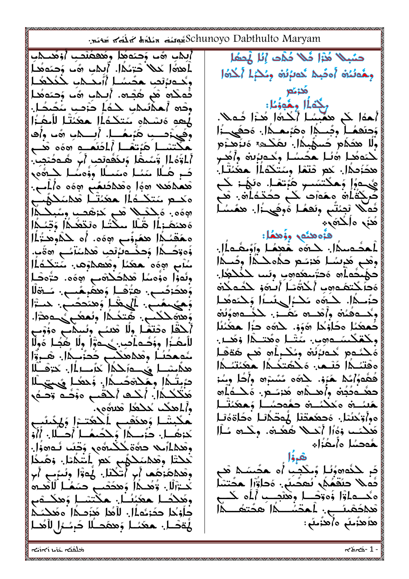Schunoyo Dabthulto Maryam يُتمين سنة الله مجمَّلَتْ بين الله بين الله بين الله عليه بن

أبكب شأ وحنفعا وهعفلف أوهيك أَهرَهُ| كَمِلاً حُتِنُمُ|. أَبْمَا ، هُبَ وَجِنَهِ هُلَ| وكتفاؤتها حصّسًا أأنجبانا للكلفا فُمثَلَّهِ هُم هُجْلُه. أُبِيهِي هُبَ وَحِيَمَعُكُمْ ودْه أَهِكْتُمْبِ حَدْثًا دَرْمِيا مُحَمْدًا. لَمِعِهِ مَسْـدَهِ مَتكَـمُـلَا ـهعَمَّتْلِ لِلَّـمُـزُا وَهَيٰٓءُ؎بِ هَٰٓءُمهُــا. أَبِــــهبِ رَهُما وأَه لْمَكْتَسْلاً هُرَتْمْلاً ٱلْمُظَمِّدِ وَوَوَ هُلْم ٱللرَّوَٰءَ!! وَّسُمْا وَيَكُفُونَصِ ٱلْمَ هُـوَجُصِرْ. صَّعِ هُـلًا مَنْـلٍ مَمْـلًا وَوُّمنُـلٍ كِـرَةُو هُعُمَاهُلا «وَا وَهُدَامَٰتُمْنَ «وَهُ» وَأَلْمَنَ.<br>وَحَدوا مَتَكَلَّهُ الْمَعَّنْتُ الْمَدْمَحَدِّيَّبِ @oos. هَكْبُلا هُمْ كَنْهْصِبِ وِسُبِكَـٰهِۨا هَ هَنَصَـٰٓٓٓٓہٗا ۖ وَلَا ۖ وَلَا ۖ وَلَا ۖ وَلَا ۖ وَلَا ۖ وَلَا ۖ وَلَا ۖ وَلَا لِلَّهِ ۖ وَلَا لِ هِ مَقْنُـٰهُ | هِمُرِؤَبٍ جِهَهِ. أَه كَـٰهُوهِـٰٓ أَلَمْ سُلْمٍ وَوَوَ حَقَبًا وِقَعَمْوُهِ. سُتَكَمُأَلَ وِلُوَٰٓؤُا وَوَّوَسُلَ قَعْلَاحُكُوْمَــمٍ ۚ وَوَوَى صَرُّوَهُـلِ وَهِدَرْمَــــمِ: هِتُرْقَــِلْ وَهِجُمِـــمِ. سَــةِلْل وَهِيَ هُبْ، إِلَي هَنَّهِ وَهِمَحِجَبٌ. حَبَّ ا ۏؙڡۿػػٮٝ؞ۿؾۮؘػؙٳؗۥۅؙٮؙڡۼؙۑٛٚ؎ڡڗٛٳ؞ۘ<br>ٱڂڤٞٳۄڡٛؾڡٝٵۦۅڵٳۿڡٮؙ؏؋ڛػڝۄۏؙ؋ؚٛٮ<br>ڵڶٞٮڡؙؗڔؘ۫ٳۅۏؘڞڡڷڝڹۣٛ؎ڗ۪ٛڶۅ۪ڵؙٳۿڣؙٵۏۅڵٳ سُمِعتُنَا وقداهَكُنِّي جَدَّنَـٰۭءُا. هَـٰٓزَّةَا هِجَمِسْكُمْ الْمَحْمَلَ مَسْتَوَاسَةَ الْمِحْمَدِينَ مِنْ الْمَحْمَدِينَ الْمَحْمَدِينَ الْمَحْمَدِينَ للْرَضِيْ الْمُحَدَّدُ , فَحَقَّدُ الْمَسْتَمَرَّةِ الْمَنْبَدِينَ هَٰٓتَكُـٰدُا ۖ. أَحْدَه أَحْقَب هُوَدٌ ۖ وَّدُهُ ۖ وألمعك كلحعا معشى. ِ<br>ـَمَكَـبِشَـا وَهكَفَــبِ لَمَـٰكَتـَـبَا وَلِكَـنَبِ<br>كَنِفــاٍ. حَنَـــــهُا وَحْجَــمُــا ٱحـــُلا. إُٱو وقَعْمَلَاتُكْ حَقَّةَ كُكْتُمُوْمٍ وَجِّفُ لُــةِ وَأَبْ تُدْتَا وِتْعَمْسُدْهُبِ لَاهِرِ لِمُتَٰٰهُمْاً. وَصَّدُا وقَعَدْهَمَا أَبِي أَتْكُلُلُ: هُوَوْا وِنُسُمِع أَبِ كْتِرْالْا. وُهُكُمْ وَهِجُعْبٍ حَمَمُـا لِلْهَــهِ وفَكْشَا حَعَيْنُـا. حَكْتَسْا وُمِكْــْمَح جِلُوْكا حَمَرْدُه أَا. الْأَهْلِ هَذِهِ هَٰلا مَعَلِّكُمْ لَمَقْصَا. حَقَصًا وَهِقَصَا أَخْرَسُمُ الْأَهْلَ

حسّبِـلا مُدْرَا شَلا دُمْت إِنّا لِمُحمَّا. وهَ اللهُ أَوْحَيْطَ تَحْفَظُهُ وَمُحْتَدَا أَخْلَاهُ ا مدنم رِيَّةَ أَلِي مِيَّةَ وَمَاءَ .<br>أَحْفَلَ بِي مِيْسَلِمِ أَيْحَدَهُ لِي هَذَا فَـٰمَـٰلاً . وَحِنَعَمُــاْ وِجُـــجُلْ وِهَبْــمــدًا. هَحَكَــيــزُلْ وْلَا هِمَكُمْ ضَبِّهُكُمْلِ. بِمَكْتُمِ ۚ وَيُزْهَدُوْم لْكَمَعُطِ هَٰلًا حَصَّسًا وِكَـٰءَبِرُتِهَ وِٱهْب هكَرْحِكْل. كَعِرْ قَتْعَا وَعَتْكَهُ أَلْمَعْكُثْلُ. يُحِهُمْ وَهَكْتُسُبِّ هُبِّتَهْا. وَنَهْدَ كُلِّ ضِّكِقَلَةً مِعَدَّدٍ كَبِ حِجَجَاءَ مِنْ هُجِ ثَمَلًا بِْبِئْنَى وِنَعِمًا ةَوِفَى أَ. مِمَسُلُ هُذُبهِ وأَلَكْتَهَا \*\* فأوهثم وأهماه المحْـوبدَا. كَـرَوْهِ هُعِمَا وِزَوْبِقُـواْإِ. وثبي مُدِيسًا هُزسُع حَدْه حَكَمَاً وصَـٰهُا حَكَمْحُمَلُّهَ هَدَّتُمْعَمُهُمِ وَيُبْ حَكُكْفُلُ. ەَدَىكْتمُدەوبِ أَىكْتُوسَا أَيتَوْزِ بِكَيْمِكْتَهِ دَّسكُا، حَكَمَّه مَحْسُرا مَثْلُه مَثْلُ الْمُحَمَّد وتُصوفُنُهُ وأُهْصِهِ خَفَصَىٰ كُلُّصُووُلُهُ كُمعَدُا مَكَاوَٰكا هَوَهِ. كَهُم حَزَّا حَعَدُنَا وكقكسُــووبِ. غُتْــا وقُتــدًا وَقَد. فَكْتُمْ تُحْمَلُونُهُ وِنُكْرِلُهِ هُمْ هُوْهِا هِقْنَــدًا ضَــْـم. هَـدْهُتَدُـدًا ـمْعَنْتَـدُا كُهُو}ْنُكُ هُزَوْ. لِكَةُه مُنْسُرُه وِأَكُلْ وِينُوْ دهَــوَجُوهَ وأهـــمَاه هَـٰهَـــمِ. وَهـــواه هَنسُــة هَكَكْسَــة حَجَّــهِـــا وَهَعَنْتَــا ەوأَقْدَلُنَا. ەَحِعَمَتْنَا لْمُحَكَّلَا ەَحَاقَەُلُيا هَكْسًا وَوُٱلْمُ ٱحْكَلْا هُعَدُهْ. وكُلُّه سُأَل هُوصُلِ وأَبِعُزُا﴾ هرؤا ضَ لِكَدُهُوَيُنَا وُبِكَجِبٍ أَه بِعَضَبَيْكَ هُد ثُملا حنَّقْفُكُم نُعجَّبَنُي. هَجارْآا حَجَّتتْنَا هنُّـــهلوْۤا وَهوَهَـــا وِهْنَجــب ٱللَّهِ حَـــحِ<br>هدكمَمِنَـــي. المحَسُـــدَّا هجَتمُـــدَّا هاَهْنُنِي هِ أَهْنُنِي:

امحذابح المآغر بحفظت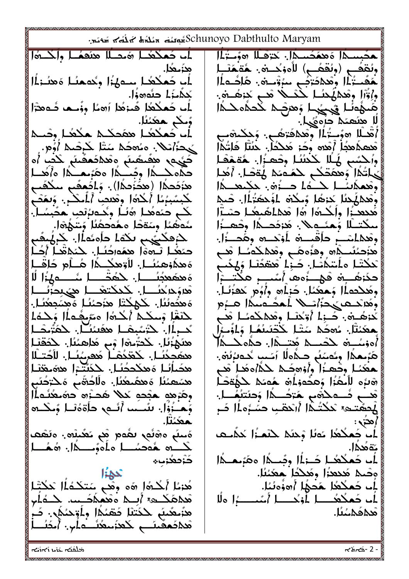Schunoyo Dabthulto Maryam يُتمين سنة الله مجمَّلَتْ بين الله بين الله بين الله عليه بن أم حُمحُهُما هَيصاً مِتَعِمًا وَلَكُــهُ] هَجَبِيبِهِ أَوْ مَحْمَضِيهِ الْمَجْرَفِيلَ وَوَحِبْهَا وِنُقَفُّــمِ (وِنُقَصُّــمِ) لِأَوزِنُكــةِ. هُقَهَّنْـبِا هنُبِعُا. أبِ حَملَكَمًا مِنْظَمِرًا وِتَحْمَلُنَا هَجَلْبَانَا هَقَستُهَا وَتَعَدَّدَتُبِ سَزَوْسِتَهِ. هَاشُـ2أَا بَحِكَىـزَ احتَدهوزًا. وإوَّال وهَدْلُمَدُ الْكُنْمَلا ثَمَّــمْ جَزَعُــة.<br>ضَيْخُونُــل قَرْحِيُبِــل وَهْتَنِــدْ خُدَدُه حُــدًا لَم حَملُهُا قَيْهُا آهنًا وزُنِيمَ شَوهَزَا وُحْکِ حَعَنُنُا. لِلْإِ مِنْعَنَكَ فَأَوْوَىٰ). ٛٞٲؘ۫ٚٚڠۘٮڷٳ؊ۅٞۥ؎ٞؠؙڵؙٳ<sup>ۜ</sup>ؖڋۭڡٛۮۿؘۻ؊؋ٮػۮۿٮ<br>ۣڡڡۿڡۼڶ*ؚٳ*ٳٛڡ؈؋ڂۥٞۦڡٚڬڂڶ؞ؚۦڂٮؙڷٳ؋ڶؾؙۮٳ لما كَمحْفَا محَمَدَكِ محْمَدا وَحْسِط لِحِنَّاتِيلا. مئەكىل سَتْل كَرِضْيا أُوُمْ. كَيْبَ وَالْمُعَمِّسَ وَالْحَاكَمَقَّسَ الْكُثْبُ أَن وأكبَّني هُلًا خَكْتُتُنَا وَقَعَـزًا. هُقَهْقَـا يَٰ اتُدٗا ۚ وَهَمَّدَكُم ۖ حَمَّـهَ مَـٰا ۖ يُّـقَدَا. ۚ أَهُـا<br>وقعمُسُــا حـــهُ ا حـــزُهَ. حكِّــعـــدُا حكمكما وجُسِكًا محَبِّسكًا هُأَهُــا هزَمَحكُا (هجَزَمكُا). وَاضِعِقَبِ سكْفَبِ كَبِسَبِئِنَا أَحْدَهُا وِتَعْنَفُ ٱلْمَكْرِ. وَتَعَصَّ وقَعَدَهُمْ كَانَ مَا وَحَكْمَةً وَالْمَحْمَدُ الْمَالِ. شَيْخَا لَكُمْ حَنُوهُمَا هُلُمَا وَكُدْمُ تَقْدِمُ هُجُمْسَالَ. هُدهدُا وأكْـهُ| هُا هُدَاهُدهُـا حِسْـآا مُع<sup>ْ</sup>هُمُا مِمُعَد*ْما أَجْتَنَ*هُوْا.<br>لِأَعْلَيْهِم بِكَمَا جَأَوشَاًا. كَرِهُبِعُم سكتىلًا وُهسُـهِـلا . هُـْرَمُصــدًا وصْعــزًا وهُمْلَمْتُ حَأَقْبَـةَ لَمُوْكَــةِ وِهَٰكــدُّلِ. حنَفُا ثَلُّهَةَا هِمَّەرَضُا. حَنَدَتْنَا أَضَا فَذَكِنُكُمْ وَقَوْوَهُمْ وَقُوْمَكُوْسًا قُصْمَ ەَهدَازمىنىُـــا. للَّازْهدْـــدَّالْ هُـــاْمْ هَاقْــالْ<br>ەَهغَمْجُنُـــــا. حَــُقتُـــــا خُـــــولِخُا لُل تَكْتُبْا مِأْسْلَاتِياً. ضَٰذِي ۚ هُهَدُنَا وَلِكُبْ حدَرْهُــِ بِهْ ۚ قَوْلِـــزُوهُ ۖ أُسُبِــرِ هَكَّتَـــرْاً هروَحرِكَتَــــل: كَحكتهْـــــل هيَجِحزَّتُــــل وهَكْدَهِ أَا وَحَقَمًا. خَزِلَهِ وِأَوُهِ حَقَّتُكَ. وَهَلاَدْهِ فَيَجْزَانَكُمْ الْمُحَدِّدَ لِمَسْتَمَالِمِ مِنْ مِنْ مِنْ مِنْ مِنْ مِنْ ەَ مِفْصَلًا. ۖ كَجِكْتَا ۖ مِنَحِبُنَا ۖ هُ مِسْجِعُبُـلَ. لِمَنْقَلِ وَسَكُمْ أَكْتُوا وَسَمْعُواْ وَكِمَاءَ كٰنفُ: ۖ حَـٰٓئِہٗ أَوۡكُنَـٰا ۚ وِهَٰكُمۡكَا ۚ هَٰٓ بُدِيلًا فَاسْتَمْتَبِهْدا مِفْسُلًا حَمَّتُوجُدا هعَنْتْا. مُعجَّلًا مَتْنَا لِكَتَسُعُمَا وَاؤُسِرَا هنّهُ;ُنُا. ۗ كَحَتَمِثْه| وَ ۖ هَاهِمُنُا. كَحَقْنَـا<br>هفَجِدُنُـا. كَـقَدُهَــا هَعْرِمُبُنَـا. لِأَحْتــلَا أُهوَمُــِـرَةَ لِلْحَـــــــــمْ هَتـَـــدُّاً. حَذُه لَـــدُّالًا هُبُعِمَا وِحُمِنُهُ صِدْهَا أَمِّبِ كَـٰهَدِّنُهُ. هَٰعَمُـٰل وَضُعَـٰزُا ۚ وِأَوْهِضَـٰهَا كَـٰهُ/هَ مَدلِ ۚ هَبِ هكَماُنُـا هَ هكَحَحُنُـا. كَخَنْتُـثَ المَوَمَعْنَـا همَعْنُا هَهِمَعْنُا. وَلَاحُقُبْ هَدْرَحُنَى هَنَو الْمَعْزَا وَهَشُوبَاهَ هُومَد حَجْقَضَا وهُرْمَهِ هَبْحِهِ كَلاً هُجِرْهِ ۚحَةَ هُمُنُواْلَ هِبْ دُےدِہُں جَۃحُــدًا وَحنَتنُهُــا. وَْهِـٰٓءُوۡۖ). لِلَبِـٰبِ أَلَـٰهِ حَاّةَهُلَـٰا وَمِنْـٰـة لْمَعْقَدَهِ ۚ كَكُتُكُمُ أَاتَحَقَّبِ صَنَّبُوءَا ۖ ضَـ ﻤﺤَﯩُﻨَﺎ. لَمِنْ جَمِكْتُمَا عَةِلَا وَحِتَمَ كَتَمَةُ! حَمَّدَهَا مَسْهُ وَوَلَهِ لِعُمْ مِنْ مَعْدَلِهِ وَلَعْقَفَ كَــْدِهِ ـهُوْجِسُــا وَأُوْمِـــدًا. شَهْــا تةهُداً. لِمَا حَملَكَمَا حَـٰٓٓٓٓٓہٰٓاْ وِجَـٰٓهُا وَهَٰٓءِـمَـٰهُا **َدَّ;َحَعُدْ;ب** وصْدْ مَحْعَدُا ومَحْدُا جِعَدُنَا. تحمذا هُنطُ أَحْدَهُ! هُو وَهُمْ مَتكَدُماُ! تَحَكْتُا.<br>هَدَاهَكَــوِّ أَبِــدَ وَهُمِذَكَــِيبٍ. بَكَدُلُم بِأَبِ حَمَكَتُكُمْ هَجَهَا أُ7ْوَوْءَيْنَا. لِمَا حَمِكْتُنِــَـا لِمَّذِــَــا أَسْبَــــْ الْمَالِّينَ الْمَالَ هِنَعْمَدَ حَكَتَنَا حَقْدُهُا وِلَمْتِحَدُبُو. حَـر قحطفَهمُعُلُ. تَعدَدَهَمَنَـــم ۖ كَحدَمو الله عَلَمٍ. ۚ أَحَدُـــأَ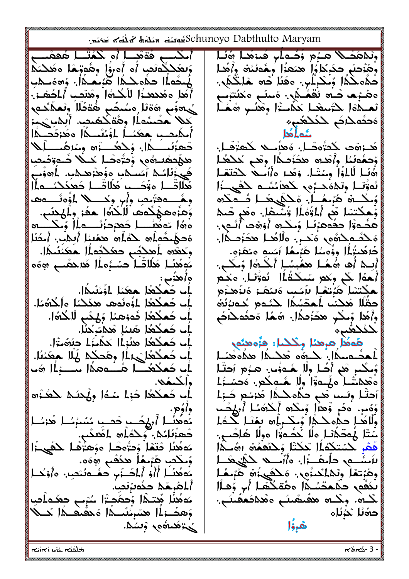Schunoyo Dabthulto Maryam يُتمين سنة الله جَمْلُهُ جَمْلُهُ بِمَ يَعْدَمِنْ أَنْكُبَ فَقَعْبِ أَهِ كَمُثَـٰأً هُفَقُبَ ولكفكلا هئو وضعلو فيزهل هُلل وَبِعَكِكُونَصٍ أَه إُهْرَوُا وِهُوَوِّهَا مَعَكَنَكَمْ وهَٰٓدَمَـٰ حَـٰٓدِكَاوُا ۖ مَـٰٓعَدُا ۖ وَهُوَيَّدَةٌ ۗ وَٱبْحَـٰا لْمَحْمَأَا حَذْهَكُمَا هُبُعَجَاً. وَ3َمَكُمْ حَفُّه كَمَا وَمُكْرَبُّهِ. وَقُلْا حُرْه هَلَكُمُ . أَهْلَ وهُدَهِـزُا لِلْكُـرُهِ| وهُنْصِبِ ٱلْمُضَـزِ. ەھْبْھ قَـاھ ئَقْھُـٰھٗدٍ. ەَسْبَ ەَحْتَبْنَـٰ<br>تَعَـِٰھٰۃَا لِـُتَّسَعْـِلَ حَکَمــَۃًا وِھْتُــو ہُـھُـل رمكلُماً وَالْمُقَةُ مِنْسَمَةٍ وَاتَّقَاهُمْ مِنْهُمْهِمْ مِنْ بَعِيلا هَجَسْتَهِ] وهُقَكْتَصُصِ. أَبْطِيَ مَعَ ەَحثَە⊾كى خىخشىم ٱمكْتِحِبِ بِمَعَنُساً لِمُؤْسُسُكَا) وَهُوَكُكُمَا) نه اها صْعَبُّئُبِــٰدًا. وَحْقُــــٰٓزَوه وسَرَمَّـــــأَلَى هُدرْهُد حُدَرُّهِدًا. هُهْ ِصُلا حُدَرُهَا. هؤمفتهُ وَمُتَوَفَى الْحَلَّا فُتَوَقِّمَتِ وَحِمَّونُنَا وأَهْدِه هَجَزَحَـٰهُا وَهْمٍ يُحْجَجُـٰا فَيْ زُلْكُمْ أَمُسْلَمِ وَفَقِدْهِمْهِ. لَمُعَوَّمِ هُنُا لَالمُؤاْ مِمَتْلا. وَهُد هَاأَسَلاً كَفَتَهَا فْلَاتْها ەۋْدَحە فْعَلاتْها دُھككشە ال لَعِزْتَنَا وِتَمْغَجْدَوِي كَعَلَامُنُتَ حَقِيتُوا وَمِكْسَةً هَبُعُسَاً. وَحَكَمِي هُسَا فُسْهَدُه وهُــــودُنِيب وأَبِ وكَـــــلا لمؤُونُــــوها وَْهَزُهِ هِهُكُمْهَا ۚ لَا كُلْأَهُ لَـ هَهُ; وِلْمَلِحَسَّى. وَۡهِكۡتِسۡا ۚ ثَقَ ٱلۡاَوَّٰہُ ۖ إِنَّہُ قَلۡ ۚ وَمَعۡ وَصَدَ هُوا مَوَهُنُـــا حَمْدَنُـــواُلْ وَمَكَـــو مَحُـورَا حَفُّومَ ُلـٰ وَحَـْـِهِ أَوْهُد آَلُــهِ. هَحجُمحُواْهِ حِدْمَاهِ هِمَبِيَا أَبِحِبِّ أَحْفَا هَ لِأَصْحِدُهُ مِ هُ دَ. وَلَاهُمَا هَجَزُهِ وَا. وكعْدَه ـأهلاجُب حعَلاجُوـأا ـمعَنُنَـدُا. جَاهَدْيَا وَوَّوْمِمَا هَٰٓ هُمَا أَصُبِهِ وَعَمَدِهِ. غَوِهُنَا هَٰلَاتَا حَسَرُهاُ هَٰدَهَمَ وَهُو أِبِـدَ أَتَ هُـمُـا مَمْنِيْهِا أَخُـمُا وَبِكَـنِ. أَهَمَا كَمْ وِكُمْ سَكَتَمَاْلُ لَمْؤُثَلُ: مَكْمُ ە/َهنَّبِ: لُم حَمْكَعُا هِعَنَا لِمَنْتَدَا. هِكِتِسْا ۚ هُرۡتَهُـِا لِلۡصَبِ هَٰنَـٰهَـٰٓ هَٰنُوَهُوَۖ بِّك حَمحُهُا لِمُونُوها هدَكْنَا وأَلْحَوُمَا. حقًّاا مَحكمًا لَمَحْبُدًا حَدُوم كَدِيرُتَهَ بُك حَمِيْهَا شَوْهِمُا وَلِحِي لَاحْدَه ا. وِٱهُا وَمِكْدٍ هٰذَهِ\$ا. هُهُا هَحثُمطرَكَم لِم حَمكٰهُا هَسْا هٰذَبِكِيْا. .<br>لمنكشّم*.* بأب حُمكْهُا هِنُزَاْلِ حَدَّبَزَا حَنَهُ تَرَا. هُوهُا مرهبُا وتَكبان فزُوهِيُوم بَابْ حَمكِحُلاَتِ الْمَرْكَبِينَ عَلَيْهِ مِحْدَدًا. أَحدُ عِيدًا. ۚ كَتَوَٰهُ مُحَكِّدًا هَذُهُ هُنَا وَمِكْمٍ هُمْ أَهْلِ وَلَا هُـوَوَٰ، هَـرُمْ رَحَتْنَا لَمَا حَمَكَٰتُكُمْ أَشْتُدْهِدًا سَنَبَالًا هُ ه هَهشْماً ولَم دوْلَ ولَا حُسَمِكُمْ. وَصَنْدُهُ والكنعُلا. أَمِا حَملُهُا حَذِا سَـهُ| وِهْدَنَـٰهَ حَهْـٰٓءَ ٥ ٱِحتَـٰا وِنّـَـٰتِ آهَـٰ حَـٰٰٓهُمَـٰـٰہُا هَٰٰٰٰٓٓٓٓئَـٰہِ خَـًٰٰٓٓٓٓٓٔا۔<br>وَهُـٰہِ. ہَجۡ ٍ وَهُـٰٓا ٍ وَیـٰٓتُہ اُلٰۡہُنَّـٰا اُلۡہٰۡتَـٰت  $\cdot$ واؤهن خَفَّفُــا أَرِيحُــبِ حَصـبِ مَّسُبُنـَـا هُـزَنـُـا وِللفَيارِ حَذِهِكَذَا وَحَكَبِلُو بِمَثَلٍ كَلَمَا حۡعِبۡلَائِکِ ۖ ۖ کَمَاۡہٖ ۖ ۖ عَلَیۡصَٰٓ ۖ ۔<br>مَمۡفُلَ قَتِمَا ۖ وَحَتَّوَضَا ۚ وَوَعَتُوۡا ۖ حَضَىٰٓ ۖ أَ مُتْلَ هُءتَـٰالَ إِيهَا لَحْجُـوَوْٓا ووِلًا هُاجَـــع. كَمْ كَمُتِكَمُلًا تَحْتَا وَكَنَعْفُو اهْكُمْ وَمَكْتِبِ هَزَمَهُا هَدَّهْمِ ۞هُه. للشريف الأمن أنْ مُسْتَدَابِ مَا أَسْتَ بِمَسْتَمَاتِ مَعمَّصًا أَأَوْ ٱلصَّـزَٰبِ حَمَّـءتُنصِ. ۞أَوَنُــا وهَبَتْهَا وِتْمَلَّدْشُوهِ. هَكْفَهَ تُوَسِّمُ لَمَنْهُمْ بِكَفْهِ حَكْمَحْسُـٰهِ! مِمُقَكَّفْ أَبِرٍ فَقَالَ آلم هُڪ حثَمبُ تَحِبُ. مَعَمَّعًا هَۭتَـٰٓءَا وَحَمَّحِـۃًا مُبْعِے حِمَّـٰءَٱحِب لْحِيهِ. وِكْسَه هَفَيفَينَع هِ فَعَظِفَظَعَ بِ. وَهِجَــزِلَمْ هِنْبِرْنُنَــدًا هَجَعَـدَهُمْ حَدَلًا حَــجَلَا حەُنُا كْرُنُا هُرُوْا كَمْنَامُ وَمِثْلُكَمْ.

اسنااح المآخر الأنفك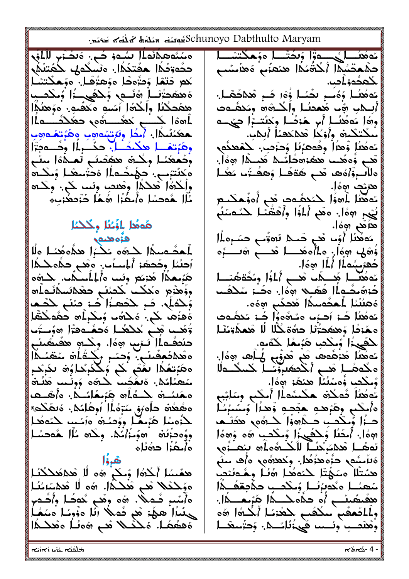Schunoyo Dabthulto Maryam يُتَمِينُهِ بِدَيْنَةٍ جَمْلُهُجَ يَحْدَيْنِ. مَعَعُنُـــانُي ـــعَوّْلَ وَبَحْثَـــا وَمِمكَّنتَنَــــا مبَنَّفَعِهِفَمَا إِلَيْهِ فَالْجَنَّبِ الْمَافَى دAْهقسُٰهَا ٱلْدُقُسُهَٰا هنعنَى هَهاَسَنب حِثُودُهُا هِعۡتَدُهُا. وَنَسۡكُمۡ لِحُمۡتَنُكُمۡ ۖ ـكھڅە**ز** -<br>1 َّكُمْ قَتْقَا وُضُّوَهَا وَوُهَۃُقَا۔ وَوُ**ـمَ**كْتَشَا يَعفُصُلُ وَمَسَمٍ بَصَّبًا وَهُ، ضَمِ هَٰذَهَا اللَّهُ عَلَيْهِ هَ مفَعِثَرُنَا إِلَىٰ اللَّهَ وَحَقَّىٰ أَوْ وَحَدْبِ هِمَحِكْنُا وِالْكُمَا آسَبِ مَكْعُبِ وَوَهِنُكَاا أبـــــاب بمَّـــ هَعصلـــــا والْـــــــة، ومَـحمَّـــه ت أه وَالْكِنْبِ مَعْنَـــوَهُ حَعَكْمُـــولَمَا وِهَٰا عَمَعُنُــا أَبِ هَٰٓءَهُــا وِحَنَّـٰـٰٓءَا حَيْـــهِ هعَنُنُدًا. {مَثَلَ وتَرَسَّمَوهِ بِمَعْهَدَهُمِهِ مِنْ يَسْمَعُوهِ بِهِ<br>وهَبْتِهْمَا هَكُنْدُمَا. دَكَبِيزًا وَدُعَهَزَا سَكْتَكْتُو وُأُوْكُلُ هَدْكُفْتُلُ أَبْدَبْ. مَعَمَّلًا وْهَالُ وفْعَصُرُلُل وُحْرَضٍ. ﴿ فَعَقَقُوهُمْ وَحَمْعَنَـٰا وِحْـٰ وَمِهْشَنَّى ثَمـٰذَٰۃا سَنَّے هُم وُهِ هُم اللَّهُ وَاللَّهُ اللَّهُ اللَّهُ وَالَّهُ . هِ ِ اللَّهُ عَنْ اللَّهُ وَ اللَّهُ وَ اللَّهُ مِنْ اللَّهُ وَ اللَّهُ مِنْ اللَّهُ وَ اللَّهُ مِن ەللْابْزْ، وُهُ هُد هُقْقْط وُهِقْتُ مَعْط وَإِلَيْهَا ۚ هَٰكُمَآ ۖ وَهُنصَا ۖ وَيَسَا كُلِّي ۖ وَكَنَّهُ هرُبُ رِهِهُ . مُعَظِّلًا لِمَعْوَلًا لِكُنَّدِهُبِمَصٍّ فَهِي أُوفَهَكُنَّكُمْ مُأَا هُوَصُلُ وَأَبِعُدًا شَهْلَ خَزْفِعُرْبِ ﴾ يُّع هِوَا. وَهُمْ أَلْمَوْا وِٱفْقُدْا كِنُعْمَلُو هَءهُا لِمَنُنَا وِكَكْنَا هَدَهُم هِءُا. مَعَقَدًا أَوَّتَ هُمْ شَيْءًا لَهُ قُوَّتْ حَسَنِهِ الْمُسَارِ فأهضم ؤَهُهَا هِوَاْ. وَالْمُعَصَّا قَصْبُ هَاصَبُوه أهدَّـــمسمًا للــــوَٰه مَكْــَٰزًا هذَهوهُنــا ولَٰا كُعرِّيْبُماْ | اُلْمَالِ هِوَا.<br>مَعرُّضِيا هَجِيجُات هُجَي أَلْمَوْلِ وِمُحَّقِقُيْسَا. أَحِبُّنَا وِجُحِفَۃٍ ٱلْمِسَاَّبِ: وَهِي حِكْمَكَذَا هُبْعَدًا هُزْمُعٍ وِيْتِ هُ الْمُلْتَدَّفٍ كَلَّةٌ هُ دَرْهُ مُشْمَأَا فُعُبِهِ هِ١٥ُ٠. هَضَرْ سُلَافُ، وؤُهْرُم مَكْكُب كُمْنَعْ حَعْدَنَبْدِهُ مُعَامَّد ەَھسُىُّا لەھھەسلاا ھُڪئى جەھە. وَلَّكُفَأَنِّ. ضَرِّ لِكَتْعَبُّرَا ۚ ضَرَّ مِنْتَمِ لِكَتَبِهِ ەَفْعَا كَمْ. ەَكْسُ مُكْبَلُه كَعُمْكَتْقَا مُعفَّقُلًا ضَعَ أَصَرُتَ مَنَّةً وَوَّا ضَعْ مُحَشَّدَت تُفْبِ فِي مُنْظَمَ هَٰذَهُ وَهُنَّا وَمُسَتَوَالِ ەھزەُا وَمھَدَّزْنَا دەُةڭلَّا لَّا ھَمكَّوْدُنَا حنَحفٌـه أِلاَّ نَـرَب مِنْ أَنْ يَدْرِهِ ۚ مَعْنَصُنِّي لِكَعِيخُ| وَمِنْكَضٍ هَزُمَ**مُ**| لَكَمُتِهِ. عَوْهِمَا هَٰذِهُوهَ ۚ ثَبَى هُدِوۡهِم ۖ لَٰے اُهـ ۚ وَوَٰا ۖ .<br>وَجُوهُ ۖ إِ ۚ قَبِى ٱلْحَقَاءِ وَسَٰـ الْحَسَدُـ وَلَٰا ۖ هڤَدهُصَفَبَ. وَحِمَدٍ رَكِّـةُ أَنْ مَنْقَمُـدَّا ءهَبْتمُمُا بِمُثْمٍ نُكِي وَكُكْبِكَاوُهَ بِكَبِيْدِ وُحكْصِ وُّەمْنُثْلُ هِنَعُو بِهِ وَالْمَ مُعْمَلُهُمْ. هَٰلِغُضِبْ لَحْـهُمْ وَوِلْـبِيهِ هَٰلَيْهِ خَوِهُلاً فَوَحْلَاهُ حَكْسُوءًا أَمِيْنِ وِمَائِبِي ەھَىئەن كەمگاھ ھۇمھائىگى: ە∫ھىھە وأمكني وهوهده لمؤجده وهذا ومشتركا ەھُھُنە ھاُەرُو مُتِرَەُ ا اُوھُائُی فَصَحْعہ دـُزَا وُحْدَبِ دِـدُهوَا كَــوُهِ حَدَّسُـم لِأَوْسُلُ هَٰٓبُعُمْلُ وَوُصِّدَهُ ۚ وَاٰسُبِ لِكَنَّهُمْ ۖ لَا وِوَّەدْئُلُهْ ﴾ وَمُزْكَظٌ. وكْلاه مُلَّا هُوَدَسَٰـل هِهُمْ. أَمَثَلُمْ وَحْثَىٰ أَوْ وَحَكْمِيهِ ۚ هُمْ وَهِهُ أَ بُوغْسَا هَدْمَ مَلْكُلُّ لِلْكُلْمُومَانُ لِمَعْدُوبِ هأيمُزُا حدُلُكُ: مَلاَسْتَهِ دَزْهَ هُزُهَا. وِكَعَلَاهُهِ وَأَفْ سَلِّمَ همُسُا أَكْمُا مُكِّي هُو لَا مُدْهَدَكْنُا ۖ همُتْلَا مَمُهُتًا ۖ حُمَعُها ۖ هُلَا وِهُءِنُنَصِ هِ َحِكْفَا ۚ هَم هَٰذَٰهَا. ۞ه لَا هَٰذَا نُنَاءُ ا مُعِمُــا مَحْمِبُرُنَــا وَمِحْمَـبٍ حَكْمِعَهُـــدًا هِقَىعَىنَـــمِ أَهْ حَذَّهَــــدُا هَبَــمـــدُا. ەأْسُع ئَـٰہ $\mathscr N$ . 60 وقع ئدەئا وأَئـٰہ وِلْمُصَّفَى مِنْكَفَى حَقَّنَا أَنْحَدَّهُ أَهُ حِمَّدُا ۚ هَمْ: هُمْ شُمَّةٌ أَمَّدُ أَمَّدُ وَهُ أَمَّدُ وَهُمْ أَمَّدُوا الْمَعْرِ هُ هِهُمَا. ۚ هَـٰذَـٰلا مَى ۖ هُءنُـاْ هِ مَدـٰـٰهُ١ وقللصباً وتسمعا في أنائسكا، وَحتَّمها منفص ببقنه منافات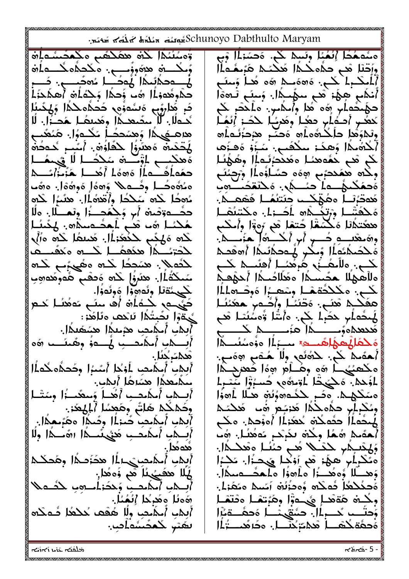Schunoyo Dabthulto Maryam يُتَمِينُهِ بَدْنَةً لِلْهُمْ يَحْدُمُ بِ وْمِيُنُبْكَا لَحْرَهَ مِعَكْفَى مَكْمَضِيَّدَأَرَهَ ەسُەھُكَا إِنْھُيُا وِنَسِطِ كُمْ. ەَحسَنا أُوْج وَمِكْمَةٍ هِيَهُوفُوبِ). وَكَحِفُوكُمْ وَلَمْ يَهْدُو وِإِحْنَا هُم حَدَّه! هَٰذَـٰدَ هَٰٓ مُعَهَّدَ! ضُـــوَـــوَـــُم الْـوَوَـــَـــل مُـرَوَّــــو مِــــــومِ أُلَمِنْكُمِهَا كُلَّى. هُ۞هَمِنا ۞ه هُما وَسَلَّــهِ حكَوِهُدومُا اللهُ وَحَكَالَ وَحِدَاهَ أَهْلَائِدَا أَنكُم هِجَا ۚ هُم سَهُمَاً. وَسَمَ لَـ20 َا<br>حَجَمَتْتِهِ إِلَهِ مَا وَٱمكُنِ عَلَيْتِهِ حَمْ ضَ فَلِرَوْہِمِ وَيَسْوَوْنِ حَجَدُوهِكُمَا وَلِمَحْتَلِ بُدْولًا . لَلْا سخْبِعْدِهْلُ وهُنْبِيعُظْ هُجَنّْزًا . لَلْ حَقَّـبِ أَصَـٰهَاـبِ حَقِيلاً وِهَمِنُـل حَجَّـ: أَرْبَهُـلْـ هرهــفي\أ وَهِسُححُــأٍ مَكْ\_ءواٍ. هَيُعَب وِلْدُوۡهَٰٳ حاۡكُـدُّهَۥۦٱ۞ هَحَـٚۖڔٖۦ هرۡحَۃُنَـٰڡآ۞ لَحَدْمَةً هَع*َنْرُواْ* حَقَاؤُهَ. *أَمَّنْ* كَـعَدُهَ<br>هَعكَنِـــم لِقُفْـــهُ مَجِدُّـــا لَّا فَيُحِمُّــا ٱلۡݣَاهُمَٰۚٱ ۚ وَهَذَا مِكۡقَمِ ۚ مَّـٰٓءَۚ وَهَـٰٓءَهُمْ وَهُمْ وَهُمَّ وَلَهُمْ وَلَهُ وَلَهُ وَل لَّٰٓ هُم حَمُّوهَـٰٓا وَهَٰذَٰٓدَٰٓ وَيُوَاٰۤٓا وَهُوَٰٓئَآا حمّه أَفْــْـه) أَمَا هُ أَهْـــا هَزْماً هُـــا وِكْلَاهِ هَمُحْدَمُ وَوَدٍ حَسَاؤُهِ أَا وَرَحِسُكَ ەئئەھُىل وشىمىلا ۋەھۇل كوھۇل. دەپ ە دەڭدۇ ــە 1 دىـــكى. ەكتى*ق*كىــــوب<br>مەدۇبــا ەمۇكـــى دىنتىمــا فھمــكى. مُعجَّل كُلِّه مُحْجُلٍ وأُقْعَهُ أَلْفَا هَنَّمُ الْحَكَمَّ دَهُـــدَةِ دُمَةَ أَمِ وَجِـٰهُـصــةُ وَلَعـــلَّا. دَلَا ەَحْفَتْط وْرْتَجِّـدْه لِمُصَـزِلْ. مكتنىُڡْــا ممعَّتمُثَلُّ مَكْمَعْلَمَ جَتَهَل هُو زَوْوَا وَأَسْكُو<br>وهَمشَبِـدِ جُــــزٍ أَبنِ أَكْــِــهُ إِلْمِئْنَــــكَ: هُكْمًا هُا هُجُ أَجِدُوسِكُمْ وَ لِمُبْلِ لَاه هَهُمُم لِكَعْدَاً. هَنْقَا كُلُّهُ مَالٌ لحْدَبْنَــٰٰھُاْ مِنۡعِمُــا كَـــم مَحۡقَىــفَ هَٰٓ كَحۡمَدُوۡهَۢۤا وَمِكُم ٰ هُے عَحۡمُ ۡلَـٰهُا ۡ ٱ هِ قَعَـٰهَا َحْبٍ. ولأَبْعُثُ هُرِهِيْبا أَقِيَّــدْ كَبِ<br>ولأَهْجِلًا هَجَيْنَــدُا وَهَلاَجُــدُا أَجْهَفـدٍ لأئميلا. هنجعًا لكنه مفهيِّب لكنه سَكَتُمَاْلِ هِنُرُوا كُلُو وَمَصْحٍ هُمْ وَهُوسِ كُمِ. مَكَكَتَمْهُا مِنْعِمُ! هُوصُومًا ا لْكَيْمَةْلَا وِلُوهِوْلَ وُولُووْلُ. هَفُلْهِمْ هُنَّى. هُدَّنُنْا وأُهْبِهِ هَعُنُنُا كَيْنَ مِنْ الْمُعَاشِرِ مِنْ مِنْكُمْ مُعَامِنًا مِنْ الْمُحْمَدِ يُـقَوْا بِحُبتُكَا نَا ٓحَمِ وَنَاهَٰذَ: لُمحۡعاُمٖ حَجۡدا کے. ہۡأَشَا وَّہمُنُنَا مَٰے<br>مَحۡعَدُہِوۡنِــــٰذَا مَزَیِـٰہٖ کَـــــِـہِ أَبِدَبَ أَنْجُمْحِبِ هِرْمِيجُا هِيَنْعُبُمَا. أَهْلَمُهَاهُمْ مِنْ الْمُجْمَّدِ مِنْ مِنْ الْمُؤْمَنِينَ مِنْ الْمُسْتَمَارَ أبسطيا أمكامحسيا لمستأذ وهُبنست الله أَحْقَمِهِ لَكُمْ. لِكَمُلُوحٍ وِلَا حُسَمَ مِهَمْنٍ. م*ُح*ک ُحنُل ِ أَبِكِبَ أَبِكْتِبِ لَمَوْكَا أَسْتَرَا وِحُجَدَّهِكُمَاًا مكعنيُكُم هُو وِعْكُمْ هِهُ أُحْمَدِكُمْ ا سَدَّىعدَا هندهُا أبدب. لْمُحِكِّدِ مَحْيَحْلَ لْمَوْسَوْهِ حُسْرُوْلَ مُتَّتِبِطُ أَبْلَمْتَ أَمْخُذَهُبْ أَهْلَأَ وُمَعَيْنَدُوا وَمَثْنَا مَمْكُهُكُمْ. وَضَرِ كَخُدْهُوَنُهُ هَـٰلًا لِمُعَوَّلَ وَحَمْكُمْ هَاتُمْ وَهَٰعِسًا ٱلْمَلِهَٰذِ. ومُكْرِبُلٍ حَكْمَكُمَا هُدْجُعِ ۚ هُ - هَكْتُكَ لْمُحَمَّأَ أَ حَثَمَكُمْ ۚ مُعَذِءًا أَهْوَدَ مِنَّى مَكَنَّ أُبِكِكِ أَبِكَسِ كُنْتِكَا وِصَكَا وَهُبُمِكَانِ أَبِــدَٰبِ أَمذُمَٰتِ هَٰٓئِي نُمِــدًا اهْمَــدًا وِلَٰا أَهْمَاهِ هُهُا وِكْتَ لِكَبْحَةٍ عَاهُدًا. هِٰ وَلِكَسِكُم حَكَـٰهُ هُبِ ۖ صَنُـٰاً وَقَعَـٰـٰدًا).<br>وَعَـۡدِيَٰمٍ هِجۡءَ هِم زَوۡدُ لِيَحِـٰٓءَا. مَدۡـُمُّا. محوما . أيدب أمكسوب سالم هجانا وحكار وحكيدا وَهِـــْلَا وُهِ هُـــزُا هَا هُوْا هَلْـمُــــوسِمُالْ. يُلَّا هَفَيْيُدًا مِّم وَّه هُدَا بِ أيبكم أتكبحب ومخزاميهم للقيملا ەۡحَكَٰكُعۡلَٰ شَمَكُنَّهٖ وَۚدۡدَٰٓئِنَّهٖ اَمۡسَلَا مَنَعۡدَلَہِ۔ وكش مقشر فيحفش ومنتقا ومتقا ھُوبُل وهُدِيُكل انُعُيُلُ. أَبِكِ أَسْكَنِفِ وِلَا هُقَف خُلْحُلَ شُمَلَاهِ بِعُثَرِ كَمَحَبَّبُهِ أَحِبٍ. هُحِفَّة كُنْفَــــاً هُدْمَّةٍ ُخَلَّــــاً. ۚ وَجَاهَدــــۃُ أَا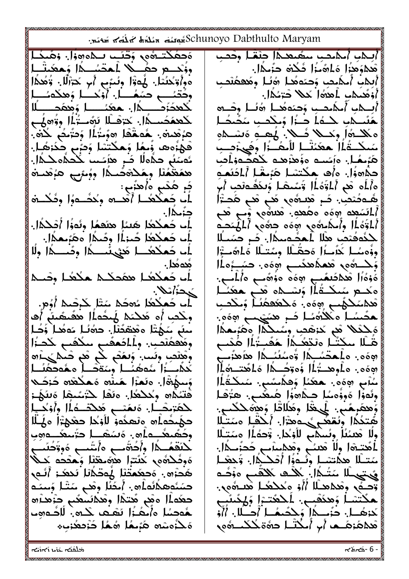Schunoyo Dabthulto Maryam يُتَمِينُهِ بَيْنَةٍ جَمْلَتُهِ جَمْلَتُهُ بِمَائِينٍ لِمَنْهُمْ بِمَعْتَ أتكم أنكبحب سعُنعكا جِنْقَا وِجْحَبِ ەَحِكْكْتْتُوم، وَحْنُبْ بْلِمُوهُوْلْ. وَهَيْخُتْلْ وؤُكِنا حَكْمِيَا الْمَحْسُنُوا وَجَعَدَتْنَا ا هَٰٰٰٰہٗہِ وَیٰٓا ہٗ اوۡ مَا وَ مُکْنَ حِنۡما ا ٥وِ١ٞۊٮُدنُدَا. لِمُ٥وَّا وِنُنَيْ أَمِ خَتَرَالًا. وُهُدَاًا أبكب أمكسب وحنوها هلا وهففتص وِثْتَنَبِ حَيۡمُـــأَ. أَوۡكَــٰا وَهكُوَــَـا<br>كَـٰعِدَۃُصــِــدًا. حَعَنُــــا وَهِمَصـــِـلًا أَوْهُدِهِ الْعَلَمُ أَكْمَلاً حَرْدُهُمْ . أبلكم أتكمصب وكموهبا هوليا وقبيه لِكَعِمَٰحُسِـدًا. بِحَتِّفَـلًا بَهُسَـٰٓزَٰٓءَا وِوَّهِجَے هَٰنُسِـكَٰبِ حَــٰهُۖ فَــٰٓءُ | وَعِنْحَـبِ مَخْمَحُــا هُ بِعَدِهُ. هُمَعْقُلُ هُوَيَّذُاْ وَحَتَّمَٰى كُنْهُ. هَ كَمْلَــْ هُوَ إِ مِحْــِـكَ اخْــَـكَ فِي أَهْمِــهِ ۚ هَ نَسْـَــكَ هِ سَكَدُّاً مَعَنْتُ الْمُحَّاْ وَفَيْ صِبَ قَوْبَوهِ ذُهُلٍ مَمْكَتِبْنَا وَمَبِي حَذَهُا. مُممَلُم حمْمالًا ضَرِ هِزَمَسَ خُصْدُه حَلَمًا. هُزَمِهُا. وَإِنَّسَاءَ وَوُهِزْهِدَا لَكُمُحْدَوْلَاصِ همَعَنْمُنَا وِمَدِهُكُنَّا وِوُنَزِي هَزْهَنْهَ حِكْلِهِ وَإِ. وأَو جِكْتِسْا هَرُجْنَا ٱلْمَطَعِ هِٱلۡاهِ ۚ هُمۡ ٱلۡاَوَّٰہُۖ اٰ ۖ وَّٰٓ مُنَّصَلٌ ۖ وَٰٓ لَكُفُّ وَتَصِ ٱمْ مِّ مَكْسٍ هَ/هنَّبٍ: لمُا حَملُكَمَا ٱلْحَــهِ وِحَفَــهِ ۚا وِقَحُــة هُـومُثني. مَـرِ ثَعْلَـةُومِ هَـنِ ثَعْمٍ هََمَــٰٓ;)<br>ٱلمَّنَـٰجِدِ بِهِوَهِ وهُعْدِهِ. ثَعْلَقُومِ يُوجِ هُمْ دزُ حَالِ. مُعَمِّلًا وَأَسْلَمِهِمْ وَهُمْ مِعَنَّ مِنْ الْمُحَمَّدِ بِّابٍ حَمِكْتُمَا هَننَا مِنَعِمًا وِنَوزًا أُثْلِكُمَا. بِلُ حَمكَمُا حَيزِلُمْ وَصَدًا وَهَبْعَهِ ۖ . لِحَدُومُتِصَدِ هَلَا أَلْمَخْدَمِيمًا. ` ضَرِ ضَيْحَلَا لمُا حَملَكْمَـــا هَيْئِمُـــدًا وَمَـــدًا وِلَا ووْهسُل كَلَساُل هُحجَلْلا وسُتبْلا هَٰاهُ سَوْل وَكَدِهُوا هُمَاهِدًا وَوَهُوا حَسَبَ وَاللَّهِ هُدهُدا ِ٠ لمُا حَملُهُا همَحكــه محُهُـا وِصْــه ەُوْەُٱ قَدْمُصَعِّبِ مِەْهْ دۇشى دۇلمىي. وَحْدِمِ مَتَكَلَّمَٰٓاْ وَبَسْلِهِ قَبْ جَعَيْنَا وبالمتأنصين َّأَء كَمِكْعُل مُعَكِّلٍ مِّتْلٍ كَرِضِهِ أَوُمٍ. هْلِمُحْكُمِن وَهُمْ: هَجْعَعْفُنَا وُحْكِب َ مَعَسُّلاً ہِ كُلاُمُنَا ضَرِ ہِمَيْنِ بِ ہِمَہِ.<br>مَكِنَا ۚ فَعِ خَرْعَصِ مِنْبِكِمَا ۚ وَهَبِّنَمَاْ وِكْتِبِ أَه هَٰكَـٰدَا لِمُحُمَا الْحَقَـٰصَٰفُ أَف مِنَّعَ مَكِمَتًا وَهِتَّقَدَّلَّ حَوْلًا مَوْهَا ۚ وَحُـلَ وِهَٰهِمُبْصَبٍ. وِـٱلْمَٰعَصَبِ سَكْفَبٍ كَلَّصَۃُ|<br>وَهُنْصٍ وَيُبٍ. وَيَعْصُ كُمْ قَبْلِ صَبِكَ أَنَّهِ<br>كَذَابِ أَ شَوَهُنَّــا وَيَنْوَّصَــا وَعُوصُلَــا قَـْلَا مِكِثْـا هَنَقِكُـِدًا هَفَبِـتُٱا هُدْب هِهَه. هلْعَصَبُدُا وُهِيَئِيُدُا هِزَهَيْتِ.<br>وَهِهَهُ عَلَيْهِ الْمُوَجِّدُا وَالْمُسَوَّمِيَّةَ وَ سُأَبِ 1,000\$ هِعَمَا وَهِذَاسَبٍ. سَنَكْتُهَا وَسَيْتَةًا. وَتَعَزَّا هَيْلَةَ وَهَكَعْدَةَ جَرَجَكَ فْتَىٰݣُاه وِحُكْهَا. وَنَقَا كَتَبَسُّهَا وَنَنَكَ ۖ وِنُووْا وُووْومْيا جِـدْ30وَا جُنْعَنِــي. هِتُوْعَا لِكْمُتِيضِيًا. وَيَعْسَى هُلِكْشَــوُلُمْ وَأَوْكَــدِا وَهِمَرِهُمْ. لَمِي هَٰذَا وَهَاأَتَارَ وَهِيهَ حَكَمَى. هُتَدُمُا وَنُمَعَنِّي وَمِتْزَا. أَخْفُوا مِنْتَبِلًا طَّحَمَاه وتَعدُّوهُ لأَوْحُلَّ حَعَيْبًا ۚ وَيَضْلَ ولًا هَسْنُاْ وِسُكْمٍ لِلَّوْحُلِ. وَْحَفَلًا مِمَتِـْلِل<br>ـاهَتِـهَا وِلَلْـهَسُـبِ وِهِجْمِينَا حَجَنَــجُلِ.<br>عَبَــهَا وِلَلْـهَسُـبِ وَهُجْمَــبِ حَجَمَــــَ وَحَقَّىهُــدِيَّاهِ . وَيَسْهَــــا حَتَّىبِعَـــدِهِبِ لْكَنِّصْلَاا وِٱحْتَّىبِ هَأَسَّبِ هَوِوَّحُنَب هُوِفُكْتُوهِ ۚ كَنُتَوۡلَ هَٰذُهُ مَعۡنَا ۚ وَٰهُمَدَهُ ۚ كَـٰلًا ۖ مَتِ لَمَّا هِجُمْتِسْبِلِ وِنُـوَٰوَا أُصْحَـٰكِمَا.. وَحصْـا يُحتَى مِنْكُمْ عَلَيْهِ الْمَحْسَنِ الْمَحْسَنَةِ مِنْهَمْ مِنْ هَجْرَهِ وَحَجَمَتُنَا ۖ فَوَجَدَانَا ۚ نَحْجَدَ ۚ أَنَّـ وَ وَّحَـــُّــ وقداهـــُلاَ أُأُو ومُحكفــا هَنـــوَّوى.<br>ــمحّــْتسَــا وَهِدَفَـبٍ. ـأحكمَــتَ وَلِحَمسَـبِ<br>حَوْصَــا. حَوْبِــدُا وَجِحَــمـَــا أَحـــُلل أُأَوْ حسُنُوهِ\$لُو]ُرو. أَمكِّلًا وقع مَنْتَا وَمِينُو<br>حفَّوا الوقع فَتِتْدَا وقَوْلَانُمعُم حِبْعَدَارِهِ هُوصُلُ وأَنْجُدُ النَّقِيمِ لَكُنَّةٍ. لَاصُومِت مَعِدْهَــم أَبِ أَسْكَتْـا حِثَة كُكْسِثُومِ ەَخْوَمْتُو ھَرَىمَا ھَمَّا خَرْقَعَٰزَبِ ۞ امحذام المآخر الأنفك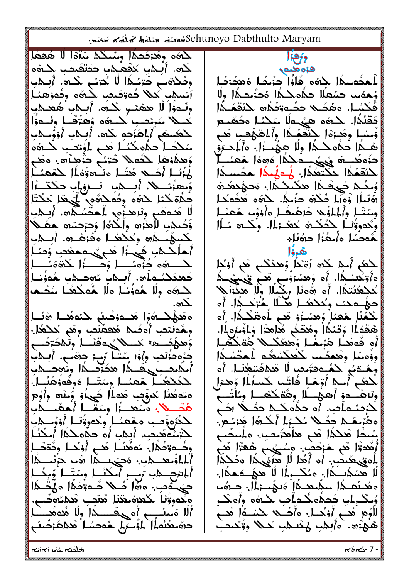Schunoyo Dabthulto Maryamئەمىئە يېزىكى ئەمەنىيە بىرىسىنى لحوَّه وهُزَحَداً وسُبكُمْ سْآةً لا هُعِمَا ligi? لكه. أبكب حققبك حقتقيم لحدةه قنوهمه المحْمىمْا لِإِنَّهُمْ هَاؤُا حَزَّمَٰطْ هَمْحَرْضًا وِثَلاَهَبِ ثَـٰٓرَبُٰدُا لَا نُترَىٰہٖ نَـْلَهَ. أَلِـٰكَكِ أَسْمَابِ لَكُلًّا هُدَوْضُعِبِ لِأَلْمَهُمْ وِقُدَوْهِنَا ا وُهمَس حمَعلًا حذَّهكذُا وَحزَّمحذًا ولَّا وِلَـٰءوَٰا لَا محمَصْــو حْـــدَه. أَبِــدِبِ هُمحــدِبِ فُكْسُا. ەھَڪَد حَصَّەتِصُلَاھ حَنَّقْصُدَا نُحبِلًا سُرْبَعِينا كُمْرَةَهِ وَهَٰٓوَهُمَا وِلَيْعَوَٰٓا صَّفَدُا. حَــهَء هيُحالًا مَحْسًا وصَّعَـــــم لِكْعَسِفْعِ ٱلْمُخْرَجِفِ لَكُلُهِ. ٱلِـٰكَلِ ٱوْفُلِـٰكِلِي فَسُبِا وهَٰذِهَا كِنَّقْعُكُمْ وُٱلمَّهْعَبِ هُبَ مَكْصًا ْحَدّْهَكْسًا هُم لِمُؤْتِصَبِ كَلَّةُه صَّحَا حَدْهِ حَــدًا وِلَا حِمَّـــزُا. هَٰٓيَلَحـمَوْ حَدُّهِ هَدَ يُحِيُّ حَدِّدُا ۚ هُوَ مَسْمَعُ لَا يَعْمَدُ }<br>لَا تَقْمُدُا حَكْتِمُدُا. فَي هُمْ الْمَصْمَدُ الْمُصَدَّمَ وَهِدَاوَهِا لِحَفْمِلا قَتَبُ فِنْهِيلَهِ. وقم لْمُزُنْسَا أَحَسِهِ هَتُسَا هَنَّدَهُ وَأَمَّا لِلْمُعَنَّسَا وَمِحُــمْ كَــِيهِــمُّا هَكَـبَــكُمْا. هَدئِكِـمُــةُ<br>هَنَــأَا وَمَلَــ تَـكُـهُ حَـبَـمُ. ـكمَّه هَجَـمَـُــا لَا هُدەڤىم وِلَاهِدْمِي لَمُحْسُدُه. أَبِكْب ومَتْنَا وأَلِمْلَوَٰى دَاهَيفُ] وأُوْوُبِ هَعْنَا ؤَصَّـٰهابِ الْأَهْتَٰوَ ۖ وَأَعْدَاهُ ۖ وَحَرْحَسْهِ ۚ حَقَـٰكَا وْكُدُوتُوْلْمْ لِكَثّْكُمْ يُحْكَمْ الْمَرْبَعْلِ الْمَسْرَةِ وَالْمُسْرَدِينَ مَسْأَلَ هُوصُبا وأَبِعُزا حووُباءِ كْسِهُـــدْ» وْكَكْتُـا ەقْرْھْــە. أَبــكْب أَهلَكُــدَبِ فَيَــزُل ثَنبي معقَنبِ وَمـُـلَ<br>لكَـــدَه هُذُه ـُـــل وَحــــزُل كَـاتَهَمَـٰــــل لِّكُم أَمِهِ كَلِّهِ آَةَتُمَا وَهَدَكَتُمْ هُمْ أَوْتُمِا كَعِدْكُـُـهِ]ْ10. أَبِـكِي مُ10كِبِ هُوَوُسُـل ه)ؘۊڬٝڡٮؙڴٳٳ؞۩ؙۄ؋ۿۺڗۅؘ۫ۘٮ؋ڞؠٚ؊ۣ۫ۑڿؙڴ<br>ٮؙڂڴؚڡؿؾػؙٳٳ؞۩۫ۄ۞ڡؙڶڔڮٚڝؙڵٳۅڷڶۿڿڗؘ*ٳ*ۑ؇ لكِتَوه ولَا جُوَدُا وَلَا جُوَكُكَا مُحْصَر حقَّــوهـنـّـــو بِحَكَمَــــا هـــاللهِ هُتِكَـــكِلّــهُ أو لْكَمُلُل هَجْدُلٌ وَهِيَـذُو هَي لِمُوهَكْـدُلُّ أَه ەقدۇك ئورا ھَــوفَـبِّع كَنَوھُــا ھُنُــا ِهَقَهِٰلًا وَتَسُمُّالُ وِهَتَـٰكُمْ هَٰذَاهَا وَلَمُؤَمِّوا ال وهُوَلُنْصِ أُوصُـٰهُ هُـٰهِفَلْصِ وِقْعٍ نُحَـٰهَٰلُ. أو فُوهُـا هَبُـمُـا وَهِعَنْـــهُ هَٰتَـنُّهْـا جَزُوحَةُتَصِ وِإِذَا بِمَثْلاً رُبِءَ جِثْمَبٍ. أَنِـكَمِنِ وؤهمًا وقعصًى للعَكِمُعُم الْعَصَمُ ا وِهُـٰقبُ ۚ لِحُمُّبِهِ فَتُرمِبِ لَا هُدْفَنَنِعُۭنَـا. }َه أمكامتها ومتوافد وبمستمر بمستدر لْحُكْمُكُمْ هُعْسًا. وَعَتْسًا: هُوقُوَوَهُبُكَ. لْحَقَّــمْ أَرْجَــلِ قُلِتُب لَحْسَلُكِ وَهـْرَل ونَاهُــْــهِۥ ٱههۡــُــُلا وهُقطُهَــِـل وبُلۡتُــِحٖ ەمّەھُلا كَمِزْجِبِ هَٰذِا أَنْتَ فَيَادْ وَمِنْتِهِ وِأَوُم لْكَرْمَنُـهِ أَوْسِ. أَه حَذَّهُكْـهِ حَشَــٰهُ اضَــٰمُ هُصْبِيْلٍ ، مَنْعَسْرُا وَيَتَقْبَلُ أَحْقَسَتَفْتِ هفَبْسَكَ حَشَكَ مُحْبَطَ أَكْتَمَا هَذَهَرَ. لحَدُّوهُوحِبِ وَهِعَمُـا وَجُدُوتُوْنَـا إِهْوَمِــدَبِّ سُخُلِ هَٰذُا أَهْمٍ هَأَهْتَنَصِبَ: مَأْسَفَتُ لِكْتُبُوهُدِي. أَبِيْدِ أَوْ حِكْوِيْكُمْ! أَسْكُنَا وِضُـهِوَكُمُّا. ۖ مَه هُنـُـل هَــبِ أَوْحُــل وِثَقفَـبِـل ٱُهٗه وَ أَنَّهُمْ مَوْحَضٍ وَسُيُّبٍ هُمَّ ٱلْعَنِيَّةِ وَ مَنْ يَجْمَعُوا وَ مِنْ<br>يَأْهِ فَيُحْتَضِي أَوْ أَهُمَ لَلْ هِبَوَيْهَا وَحَكِمَا أَمْلِغُنِهِ مِنْ الْمُسْتَمَّالِ هُــ حَرْنُـــدُّا ٱۦلترجــــــــــمـِ رَمِّــــدُـــدُ مَــَــدُــدُ وَمِـحُــدُ<br>دَكِـــوَمِـدٍ. وَهَا شَـــدُ شَــوَتَحُمُّا وَلَيْتَـــمُّا لًا هَمَكَ بِــَكَانِ مِنْكَــِـبِلَا لَلْـ هِجَــهَـمَكَالِ. ەھْبِنُھِـدًا سِدَّىھِـدَٰا ەَبِھُــۃٖلَا صَدَّە وكُدورُكاً لكَعرَهُ مَعْنَا الْعَنْصِ إِنَّعَظْمَةَ صَبٍّ. وُسْلَحِلْ حَكِفُوكُما فَصَلَّافِ الْمَذْوَةِ وَأَوْكَرَ أَلَّا هَٰمِنَّـبٍ ﴾ أَهْـــــهُ/ وَإِلَّا هُدَهُدَـــْ الْأَ للَّوُمِ هَبِي أَوْحُمِلَ. ه/ُصَّــهِ حَسَــهُ| هَبَ حەَمعُنُه£ا` اوۡضِّلٖ هُوصُبا ۚ هٰذهَ;صُبۡ هُجْزُهِ. أَأَلِكُمْ لِمُحْلِكُمْ لَا وَوُكْتَحَتَّ منفص ببقنه مناظمات

**//wwwwwwwwwwwwww** 

 $\sqrt{2}$  ,  $\sqrt{2}$  ,  $\sqrt{2}$  ,  $\sqrt{2}$  ,  $\sqrt{2}$  ,  $\sqrt{2}$  ,  $\sqrt{2}$  ,  $\sqrt{2}$  ,  $\sqrt{2}$  ,  $\sqrt{2}$  ,  $\sqrt{2}$  ,  $\sqrt{2}$  ,  $\sqrt{2}$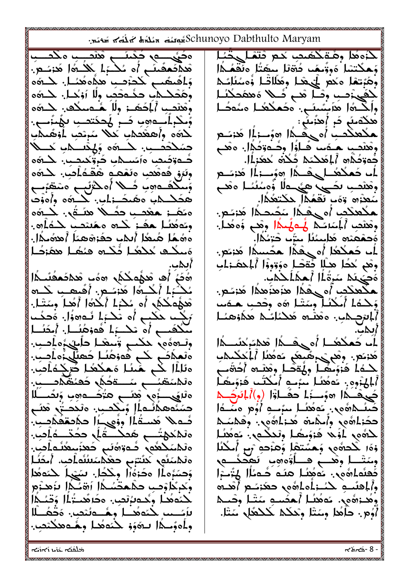Schunoyo Dabthulto Maryam يُتمين سنة الله جَمْلُهُ جَمْلُهُ بِمَ يَعْدَمِنْ وَحَيَى ہِ حَدْثَتَ وَقَتَصَبَ وَكَدَعَتِ<br>قَدْمَعَقَسَٰی أَو مُكْمَ لَمْ يَحْدُوا فَدَسُونَ لمؤونه ومقكفيها ومشابهتها وَهكْتِسْلَ هُوقُبِهُب جُوَّقَالَ سَفِعْتُلِ وَنَقْمُكُل وَاصَّصَٰــمِ ۚ كَحَبْصِبِ ۚ هِدُهِ هُنُــا ﴾ كــههُ و وهَبْتِهَا مَحْمٍ لِمَحْمَدًا ومَطَلَقَا وُمِنْنَائِكَا وَهُصْحَـٰهِۢبِ حَخُـٰءِضُمِـٰبِ وِلَّا ٱوۡحُـٰا۔ حَـٰہُہ لَكِفَىءَمَـبِ وَصَلَّا هَبِي ثَمَـهِ\ هَمَعَمَدُكُمُـل وْهْتْصِبْ أَيَاحُهُمْ وَلَا هُمْمِيكُف. كَمَةُه وأَلْحُدُهُ | هُزَيْسُنَــع. `هَجُعَـُـُـهُــدَ هَـنُوجُــا .<br>هَكَعَكَمَبُ مَ إُهْنَيْءَ .<br>هَكَعَكَمَبِ *أَوَّحِجَّا وَوَجِبَا* هَٰذِيَّـِمَ وَْتَكُرْأَنَــــْمَوِّتِ ضَــرٍ ۖ لِمُحَكَّنَتِــَتِ بِـهُنَّاسِـــِي. لْحَدُهُ ۚ وَأَهْقُدُهُمْ نَحْلًا سُرِيْضٍ ۖ أَوْهُدَلِكِ ۖ صِّلاتْصَــِب. كَـــةَه وَلِمَقْسَــكِ كَـــلًا وقشب حَــَمَــٰ قَــَاؤُا وِحَــٰٰءَوْفُـٰاً). هقْبُ فْـەرْضُمِيا ەَسَّىلمى خَرْزَىكىمىيا، كىھە جُەرْحُكَّا ٱلمُحْسَّدْ حُكْثَ حُعَدِلُهِ. وتَزَقَ قُوهُكُمِ وَتَعْقَدُ وَالْحَمَاءِ مِنْ الْحَدَةِ وَالْحَمَاءِ لَمَسْتَمَعُمِلْكُمْ لِمُسْتَقَرِّدِكُمْ مِنْ الْمُسْتَمِرِينَ مِنْ الْمُسْتَمِرِينَ مِنْ الْمُسْتَم وَۢٮٮڵڰؘ؎<u>ۄ</u>ٮؘؚڔڞؘ؇ *أُ*ٯٮڷ*ڗ۫ڹؙ*ؠ<br>ۄػػڵ۩ڣ؋ڡڡؙۻۂڶڣ؞ڂڂۣ؋ۄ؋ؙ؋ٶ وهشما وأمريقه بمستحق وستحقى بمحتفض مُعْزَوهَ وَهَبِ لَقَعُكُمْ حَكْتَعُكُمْ . ەئكىز مەشمىي مئىللا مىنىتُى. نىستەە مكنهنا أمْحِجَمَالِ مَجْمَعِهِ مِنْ مِكْتَمَامَ مِنْ مِكْتَمَامَ ومُوَهُدًا هِقَةَ كُلُّهِ وَهُنْتَصِبْ لِكُوَّارِهِ. وقَعْتَبِ ٱلْمَسْكُمْ لَمُعَلِّمَا وَقِعٍ وَمَعْكُلُ. مَحمْعته هَاسِئْلًا مِتَن دَتِنْدًا. وَوَعُمَلَ عُبِيكِلٍ أَبِيهِبِ حَفَزَوْهِمَا أَهْوَوُبِكَلَ. المنهن المُسمَّم الْمُعْرِهِ الْمُكْمِمَ بِهَا ةسكب لحككا فُكبه فلمُط ممَرْجُل وهم مُحُط هِـلًا فَقَصْلِ مَوَّتِووْا ٱلْمَحْصَـٰٓابِ أىدى. أَشْكَلْلْمَمْ ٱلْمُؤْمِنَ مُلْزَحَةً هُمَ َ أُڡ شَؤْء كُلُم هو مَا شَدْهُ مَفْسُدًا مكنه المعنَّف المُعْرِه، أمريكَ مكسكم مُكْتِبًا أَكْسِفًا هَٰنَسُمٍ. أَفْبِعِبِ كَنْ هَ تَعِهُمَكُمُ ۚ أَه يُكْبُمُ أَيَكُمُ أَهْدَأَ وَسَتَدَلَ . وَحْدُهُ أَمَكْنُا ۖ وَمَثَا ۞ه وَقَفِ هَدَمَتْ رُكِّبٍ حَكَبٍ أَهِ مَكْبَرٍ! تَوْهُؤُلُ هَٰجِكُ أباترجهب. وهشره هُكْنَاسُكُ هِكَوْهِسًا سَكْفَسِ أَهْ مَكْبَرَا ۚ فَعَوْهَٰئِسَا. أَبِمَنُسَا ∖ى∆ت. أَكْسَنْكُمْ أَكْسَفَرِهِ أَسْتَكُمْ مَالَ وتوؤوه حكيب ويعقبا فأمتى وأصبب هُدَعُم. وقدي رَهُّبِهُمْ عَهِ هُدُا ٱلْمَكْـٰـٰهِـ ۖ<br>حَـٰـٰهُـا هُوَجِعُبا وِلْقَصَـٰلِ وِقِدِّـِهِ ٱخۡـٰٰٓةُـبَ ەتمكەنى كىي ھەزم*ىئى*ا كىملى:<br>م*المال*ىكى مىئال مېڭىغا كۆ<u>ك</u>ەلمىن. ه لَمْسَعْفِيْبِ مَسْتَحْكِي هَعْنُغْكُمْ صِبْبِ. أَلْمَهْنُوهِ بِـ غُومُعُلَّا مُتَمِّسِهِ أَمْكُلُّتُ فَرْوُمِعُنَّا ەتىھى ۋە ھىلى ھەكىمەت ۋىگىسىلا<br>جىنئەھكىلىمال ۋىڭچىپ، ەتچچىشى ھىلى كَحِيْهَـٰـٰهُا هوَمــٰٓءَا حَقَـٰاوَۨا (و)ٱلْمِرْكَـٰـِـه ضَّفُكُمُونَ فِي مُعَمَّلًا سَبِّتٍ أَوْمٍ مَشْـَةًا ضُمكا هَستُمَا الْبِوْمِيسِا الْكَاحِمَةِ وَحِيبَ. مَسْدَاهُمْ وَأَسْلَمْتُ هُدَاهُمْ وَهُمْدَهُمْ لِحَدُّوهِ لَمَوْهَا فَزَوۡعَصَا وِلَكُمۡمِ ۚ مَوۡعَضُـٰا ۖ ەنمكى ئەھمىسىنى ھەتسەيلوپ. ەلكىلگە ھۇۋۇس كەزىيەللەرك. وَهَ) لَكُحْثَمَى وَحَسَّنَتِهِا وَحَبَّحَةِ ۚ مِنَ أَسْكُنَا ەتكىنى كىنتېم ھغكىنىنىفلوب. أىخىل ومَتْسَا وَهْبُ فِسْأَوَّهُ وَمِن نَفْقِقُسُومِ وَحِسُرُه\$ا هَجَزَةُ} وِحْكِماً. يَسُيْهَا جَدَهُوا ضَّفَتُماهُوبُ غَفْظِتُمْ هَنَّفَ خَفْئًا لِمُتَّبَّرَا وكركاوص حكمضكما أهكلا لزهنو وألمعني حناءا وأولى حعنتم أهيم لْكَنَّەهُـْا وَخُـْدَبُرْتَتِب: ەَجَاهَّدْخُلَّا وَتَنْـٰدُاْ وِهُذَهُوبِ. مُوَهُدًا أَحْضُبِهِ مُتْتَا وَصْبِهِ لأَصْحِبِ لِلْمُوَهُدِ وَهُدُونُدُو. وَقُصْدُلَا أُوُم. حَاْهُا وِسَتْا وَحَكُمْ كَلَحْعَلِهِ سَتْا. ولمووَّسكا بوفوِّز لمُتَوفقا وهُبوهكْتُصِب

منفص ببقنه منفاخ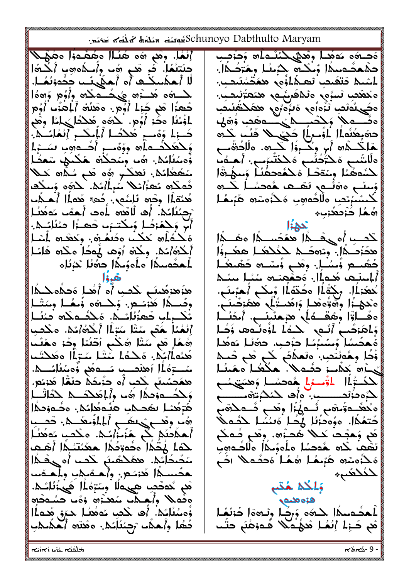Schunoyo Dabthulto Maryamئەمىئە يېزىكى ئەمەنىيە بىرىسىنى إَلَٰمًا. وقع هَٰه هَٰنَاا مِفَعَّـٰهِۥ أَمَنَّـٰهَـٰ اللهَـ ةحصةه خفضا وتعطيكننداه وحزحب حِنَتِنُمُا. ثُم هُم هُم وأَسْلَمُوهِ ٱلْحَـٰهُ| حكَاهضُمبكُمْ وَمَكْتُمْ بِكَرْمِنُنَا وِهَٰٓتِكُمْلَ. لَّا ٱلْعَذَابِ ٱلْمَالِّينَاتِ مَحْدَوْتُهُـا. إِ لمثبط فتفيض ثعبذاؤهن بعفقسُسُمب. ەكھكې تىبۇي ەتكافىئى ھىقتېرىمىب. لهُ مِنْ أَمْرِ عَيْدَ عَلَيْهِ وَأَوُمٍ وَمِنَاهَ حْمَدُا هُمْ جَزِءْ أُوِّي هَ هَدُهُ ٱلْمَدُّبِ أُوُم ەكپىئەتت تەمارە ەنبەزە ھەلىقىنىت وضعا ولحضب فكموهب وهلى لمُؤْمُلُا هِ هُمْ أُوُمٍ. يَحْجَمِهِ مَحْجُمَانَ الْمَالِمُ وَهُمُ حُــزِـا وَهُـــرٍ هَٰـدُــا ٱلْمِـدْــ آلِمُاسُـدٌ. حَمَّدِهُمُا ۖ إِذْ نَوْمِهُ ۖ وَحَيْنَ ۖ وَقَالَ ۖ وَلَا تَحْتَمَتُ ۖ وَلَا تَحْتَمَتُ هْلِكْـدْه أَبِرٍ وكُنْـرْوا كْبِـه. ولَائِحْقُب وَحِكَفَحَقُده أَنَّ وَوَمَسِعٍ أَضَّحْوَهِ لِسَنْتِهَا ەللشىم ەلمەكىلىم ەلكىشىم. /ھـەم .<br>ۋەسُلاكىلىك ھاي وسُمكْتُه جَكَيْبُه ش**م**صًا مِنۡعُعُدَانَـٰہٗ ۚ ِ نَعۡلَـٰٮ ۖ وَۚ ہٖ قَحِی نُـٰہٗؔ۞ نَصَلًا لمُنْعَضُلُ وِسَقَدَلَ مَكْعُعَجِفُكُلُّ وَسَهُتَهُ ا وُمئَے وَوَلَّــهِ نَصْــِها هُوصُــاً کَّـــواً<br>جُـِسۡبُہۡصِرِ وَلَاحُوصِ وَحَـٰٓوَمَتِهِ وَجُمِـمَا ثَمثَلِه مُعزُانَلا مُبِلَائِكا. ۚ لِمَهِم وَسَلَاف هُدُقاً وَدِّهِ لَلْنُمِ. مُعهُ: هُدَاً أَحْدُب رْحِبُنُائِكا. أَهِ لْلْعَنْ لِمَادِ أَحْدَى مُحَمَّد مَّحَمَّدُ هُمُا حُزْدهُٰ;بِ\* أَبِ وَجِعَرْضًا وَمِكْتَبَتٍ حَجَبًا صَنُائِكَ. تحمئزا الْهَــفِهِ الْهَــمْكَمْ الْهَــقَرِهِ أَيْــبِـكْهُ هَكْمُلُمْ مَكْكُبْ وَضَعُرْهُ . وَخَعْدُهِ الْمَسْلَ أَكْتَهُا مُدْ. وكُتْهَ أَوْهَد لْمُحَكَّلَ هَكْتُ هَاسُلُ هَذَوَكُمَا. ۖ وِمْحَكُمْ كَخُلْصًا هِعُبِ وَا ـْلَـمْحُمنِـدْا مَـادَوْنِـدَا حَمَّانَا كَبْرُنَا ﴾ كَتّْمَسْعْ وْمِئْسَارِ. وِتْعَبّْ وْمِئْسَاتْ كَتّْمَتْخُلّْ ألميتها هُدواًا. وَحَقَّهِتِهِ مَثْلِ سَدْ نُكعَنلُهِ. مِكْثُماُ 1هُكْتُماُ مُعِكْمٍ أَحْبَنَبَ. هزُهرِهُمنَـم كَحَبِ أَه أَهْـا هَحَدَّهكَــدًا ەڭدىم: ﴿ وَقَوْمَهُمْ إِلَى وَاهْمَـٰتُهُ ﴾ ۚ هَغَرْضُعُـٰفٌ. وصَّــٰهُ| هُٰذِمَـٰـُمْ. وَحَــُـهُ٥ وَعَصَـٰلَ وَمَثْـَـلَّـ مَكْـرِءِ دَهرُنُائِـــٰهِ. مَحْدُــه كَـه صُنُــا ەفْلُوْا وْهِقْــەٰلْمْ ھۆھنىتى. أَمَثِنُــا إِلَٰهُمَا هَمْ مَثَا مَنَا أَكْمُا مَا مَكْتَبًا لَهُ وَاللَّهَ وَٰٓاهَٰٓٓٓۃَصَـٰٓٓٓ ٱلَّـٰهِ ۚ ۡ كَـٰٰٓءَٰٓ ۗ اؤۡوَلَـٰٓهِڡ ۚ وَٰٓصَـٰا هُهُا هُمْ مَتْا هُكُم آَحْنُنَا وِحُرْ مَعْنَـٰ ۖ ەْھكىسُا وَيشَيْرُسَا جَرْحَبٍ. جەمُلَا مُوھَل هُدُه أَاكُمْ . هَكْمُا مُتْتَا مَتِرَأَا هِ هَكْتَب َؤُدًا وِهُوَنُتُصِ. وَتَعَكُّلُّ كُلِّ هُلِ صَلَّا<br>يُحَارُه بِّكْفَــزَ حَشَــهِـلاً. هَكَـْفُــل مَهْنتُـل مَــــــْزِهُ أَمْ أَهْلُهِـــبِ مَــــهِ هُم زُهِ مَمُنُائــــــــه. همُحسَّسُهُ عَكْفٍ أَه حَزَمَكُمْ حَنْقُلِ هَٰزِمَعٍ. لْكَــُّ;ٰٰٰٰٓٓٓٓاٰ ٖ ﻠُوَّــٰٓٔٸُ مِؚۗڡَحِنُـَـا ۚ وَهُنَّـٰٓىٰٓب وَحْدُحُودُا هُ وَأَلِمُحْدَكِ حَدَّاتُهَا هُتِهُدا بعُصِهب هنُـوهُا ُهُ. وصُـووهُا وَكَعَبُوهُوهُم لَــولَيُزَا وِتَعَــع كَــوكَاتَمْ رُهُ وَهُبِ وَهُدَ الْمُؤْمِنَةِ مِنْ الْمُؤْمِنَةِ وَهُوَ وَهُوَ مِنْ مِنْ مِنْ مِنْ مِنْ مِنْ مِنْ كَتْعُمَّا. وَوَدْتُنَا لَجِّكَا وَسُنْمَا حَدَّد*َ* أَهلَادَيَمْ ۚ ذَٰٓ ۚ إِنَّ أَسَٰمًا. ۚ وَكَحَبَّ مَوَهُدَٰاً هُمْ وَهَبْدَ لَمَلًا هَدِيْنَ، وَقِي شَمْكُمْ لحَمْلَ هُتَـٰهَٰا ۚ هَدَّوْخُمَّا ۖ هَعَنْتَـٰدُا أَهْــِ هَــ تَفْعَدُ كَلَّهُ ـ هُـُحِيبًا مَلَـٰهِ وَمَثَلَ مَالْفُـُدِهِ بِ اَمْعَرِهِ أَسْمَدْ مِنْمَعْكُمْ . هَذَا مَحْمَدُ هَكْزُوسُهِ هَٰبُسُمَا هُسُاً هَحَشُوهَا آخُمُ لمحَسَنَةُا هُزَمَتُورَ وِأَلْمَتَهُمِكُمْ وِلْمَتَقَمَّت للحُلاشُب∻ وَالْحَمْ هُتَبِ وَقْمَلاً وأَهِيمَن سُعَيْرَة وَوَي حَسْوَتَهِ المصَّمسكا لحمَه وَرَضًا وتـهها حَزْنُهُا ؤْەسُلُلِّكَا. أَهِ لَكْصِ مُوهُلُّلِ حَيَّقٍ هُدَالُّ دُهُا وأهمَٰ وَجِئْلُكُمْ. هِ هَنُه أَهْمُكُمْ هُم حَـٰٓءۭا إنْعُـا هَدْهُـٰهَـلا فَـُدۡوَهُمۡ حَتَّـٰبَ